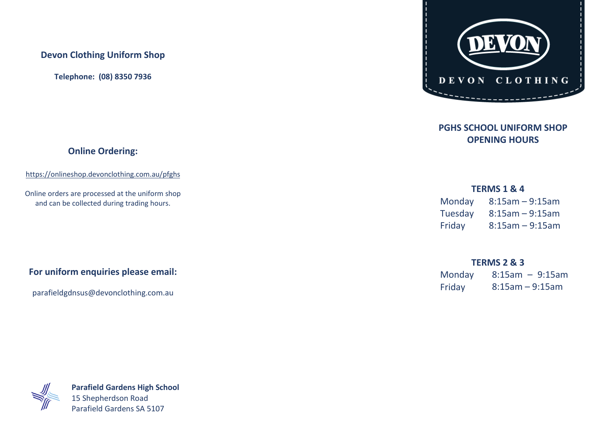### **Devon Clothing Uniform Shop**

**Telephone: (08) 8350 7936**

## **Online Ordering:**

https://onlineshop.devonclothing.com.au/pfghs

Online orders are processed at the uniform shop and can be collected during trading hours.

# **For uniform enquiries please email:**

parafieldgdnsus@devonclothing.com.au



## **PGHS SCHOOL UNIFORM SHOP OPENING HOURS**

#### **TERMS 1 & 4**

| Monday  | $8:15$ am – 9:15am |
|---------|--------------------|
| Tuesday | $8:15$ am – 9:15am |
| Friday  | $8:15$ am - 9:15am |

#### **TERMS 2 & 3**

| Monday | $8:15am - 9:15am$ |
|--------|-------------------|
| Friday | $8:15am - 9:15am$ |



**Parafield Gardens High School** 15 Shepherdson Road Parafield Gardens SA 5107